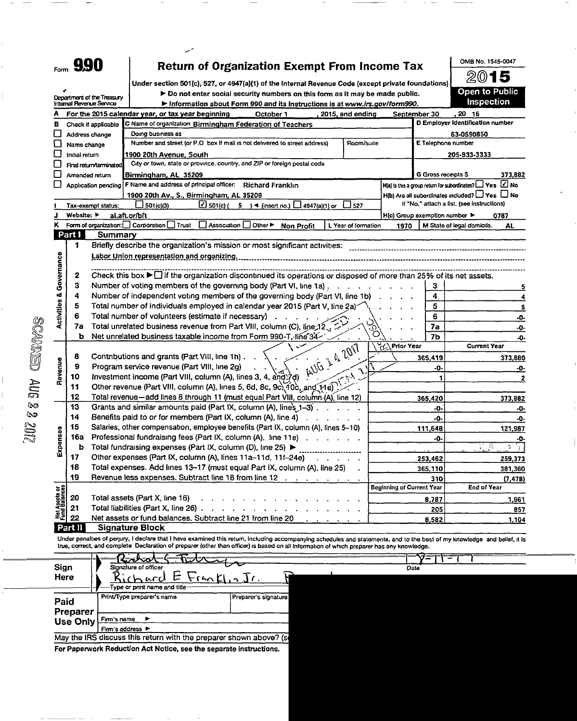| Form | 990 |
|------|-----|
|      |     |

## Return of Organization Exempt From Income Tax

Under section 501(c), 527, or 4947(a)(1) of the Internal Revenue Code (except private foundations) Do not enter social security numbers on this form as it may be made public.



|                                    |                | Department of the Treasury<br>Internal Revenue Service | $\blacktriangleright$ Do not enter social security numbers on this form as it may be made public.<br>Information about Form 990 and its instructions is at www.irs.gov/form990. |                             |                     | Inspection                                                           |
|------------------------------------|----------------|--------------------------------------------------------|---------------------------------------------------------------------------------------------------------------------------------------------------------------------------------|-----------------------------|---------------------|----------------------------------------------------------------------|
|                                    |                |                                                        | For the 2015 calendar year, or tax year beginning<br>2015, and ending<br>October 1                                                                                              |                             | September 30        | 20 16                                                                |
| в                                  |                | Check if applicable                                    | C Name of organization Birmingham Federation of Teachers                                                                                                                        |                             |                     | D Employer Identification number                                     |
|                                    |                | Address change                                         | Doing business as                                                                                                                                                               |                             |                     | 63-0590850                                                           |
|                                    | Name change    |                                                        | Number and street (or P.O. box if mail is not delivered to street address).<br>Room/suite                                                                                       |                             | E Telephone number  |                                                                      |
|                                    | Initial return |                                                        | 1900 20th A <u>ve</u> nue, South                                                                                                                                                |                             |                     | 205-933-3333                                                         |
|                                    |                | Final return/terminated                                | City or town, state or province, country, and ZIP or foreign postal code                                                                                                        |                             |                     |                                                                      |
|                                    |                | Amended return                                         | Birmingham, AL 35209                                                                                                                                                            |                             | G Gross receipts \$ | 373,882                                                              |
|                                    |                | Application pending                                    | F Name and address of principal officer. Richard Franklin                                                                                                                       |                             |                     | $H(a)$ is this a group return for subordinates? $\Box$ Yes $\Box$ No |
|                                    |                |                                                        | 1900 20th Av., S., Birmingham, AL 35209                                                                                                                                         |                             |                     | $H(b)$ Are all subordinates included? $\Box$ Yes $\Box$ No           |
|                                    |                | Tax-exempt status:                                     | $\Box$ 501(c) (<br>$\Box$ 501(c)(3)<br>5 $\rightarrow$ (insert no.) $\Box$ 4947(a)(1) or<br>$\square$ 527                                                                       |                             |                     | If "No," attach a list, (see instructions)                           |
|                                    | Website: >     |                                                        | al.aft.or/bft                                                                                                                                                                   | H(c) Group exemption number |                     | 0787                                                                 |
| κ                                  |                |                                                        | Form of organization: Corporation Trust<br>Association<br>Other ►<br>L Year of formation<br><b>Non Profit</b>                                                                   | 1970                        |                     | M State of legal domicile.<br>AL                                     |
|                                    | Part I         | Summary                                                |                                                                                                                                                                                 |                             |                     |                                                                      |
|                                    | 1              |                                                        | Briefly describe the organization's mission or most significant activities:                                                                                                     |                             |                     |                                                                      |
|                                    |                |                                                        | Labor Union representation and organizing.                                                                                                                                      |                             |                     |                                                                      |
|                                    |                |                                                        |                                                                                                                                                                                 |                             |                     |                                                                      |
|                                    | 2              |                                                        | Check this box $\blacktriangleright$ if the organization discontinued its operations or disposed of more than 25% of its net assets.                                            |                             |                     |                                                                      |
|                                    | З              |                                                        | Number of voting members of the governing body (Part VI, line 1a)                                                                                                               | $\sim$                      | 3                   | 5                                                                    |
|                                    | 4              |                                                        | Number of independent voting members of the governing body (Part VI, line 1b)                                                                                                   | $\ddot{4}$                  | 4                   |                                                                      |
|                                    | 5              |                                                        | Total number of individuals employed in calendar year 2015 (Part V, line 2a)                                                                                                    |                             | 5                   | 5                                                                    |
| <b>Activities &amp; Governance</b> | 6              |                                                        | Total number of volunteers (estimate if necessary)                                                                                                                              |                             | 6                   | -0-                                                                  |
|                                    | 7a             |                                                        | Total unrelated business revenue from Part VIII, column (C), line;12,                                                                                                           |                             | 7a                  | -0-                                                                  |
|                                    | ь              |                                                        | O<br>Net unrelated business taxable income from Form 990-T, line 34-                                                                                                            |                             | 7b                  | -0-                                                                  |
|                                    |                |                                                        | ४<br>AVG & 2017                                                                                                                                                                 | <b>Prior Year</b>           |                     | <b>Current Year</b>                                                  |
|                                    | 8              |                                                        | Contributions and grants (Part VIII, line 1h).                                                                                                                                  |                             | 365,419             | 373,880                                                              |
| Revenue                            | 9              |                                                        | Program service revenue (Part VIII, line 2g)                                                                                                                                    |                             | -0-                 | -0-                                                                  |
|                                    | 10             |                                                        | Investment income (Part VIII, column (A), lines 3, 4, and $\overrightarrow{7}$ d)<br>مهنع سأ                                                                                    |                             | 1                   | 2                                                                    |
|                                    | 11             |                                                        | Other revenue (Part VIII, column (A), lines 5, 6d, 8c, 9c, 10c, and 11e)                                                                                                        |                             |                     |                                                                      |
|                                    | 12             |                                                        | Total revenue-add lines 8 through 11 (must equal Part VIII, column (A), line 12)                                                                                                |                             | 365,420             | 373,882                                                              |
|                                    | 13             |                                                        | Grants and similar amounts paid (Part IX, column (A), lines 1-3).                                                                                                               |                             | -0-                 | -0-                                                                  |
|                                    | 14             |                                                        | Benefits paid to or for members (Part IX, column (A), line 4).                                                                                                                  |                             | -0-                 | -0-                                                                  |
|                                    | 15             |                                                        | Salaries, other compensation, employee benefits (Part IX, column (A), lines 5-10)                                                                                               |                             | 111,648             | 121,987                                                              |
| Expenses                           | 16a            |                                                        | Professional fundraising fees (Part IX, column (A), line 11e)                                                                                                                   |                             | -0-                 | -0-                                                                  |
|                                    | b              |                                                        | Total fundraising expenses (Part IX, column (D), Iine 25) ▶                                                                                                                     |                             |                     | $\mathcal{V}_\bullet$<br>Ţ.                                          |
|                                    | 17             |                                                        | Other expenses (Part IX, column (A), lines 11a-11d, 11f-24e)                                                                                                                    |                             | 253,462             | 259,373                                                              |
|                                    | 18             |                                                        | Total expenses. Add lines 13-17 (must equal Part IX, column (A), line 25)                                                                                                       |                             | 365,110             | 381,360                                                              |
|                                    | 19             |                                                        | Revenue less expenses. Subtract line 18 from line 12                                                                                                                            |                             | 310                 | (7, 478)                                                             |
|                                    |                |                                                        |                                                                                                                                                                                 | Beginning of Current Year   |                     | <b>End of Year</b>                                                   |
| t Assots or<br>d Balances          | 20             |                                                        | Total assets (Part X, line 16)                                                                                                                                                  |                             | 8,787               | 1,961                                                                |
|                                    | 21             |                                                        | Total liabilities (Part X, line 26).                                                                                                                                            |                             | 205                 | 857                                                                  |
|                                    | 22             |                                                        | Net assets or fund balances. Subtract line 21 from line 20                                                                                                                      |                             | 8,582               | 1,104                                                                |
|                                    | Part II        |                                                        | Signature Block                                                                                                                                                                 |                             |                     |                                                                      |

Under penalties of perjury, I declare that I have examined this return, including accompanying schedules and statements, and to the best of my knowledge and belief, it is true, correct, and complete Declaration of preparer (other than officer) is based on all information of which preparer has any knowledge.

| Sign<br>Here     | Reserved to<br>ヘニメシーニー<br>Signature of officer<br>$RichardE$ Fronkl, $Jr$<br>Type or print name and title |                      | Date |
|------------------|-----------------------------------------------------------------------------------------------------------|----------------------|------|
| Paid<br>Preparer | Print/Type preparer's name                                                                                | Preparer's signature |      |
| <b>Use Only</b>  | Firm's name<br>►                                                                                          |                      |      |
|                  | Firm's address $\blacktriangleright$                                                                      |                      |      |
|                  | May the IRS discuss this return with the preparer shown above? (so                                        |                      |      |

For Paperwork Reduction Act Notice, see the separate instructions.

 $_{\rm 200WSE}$  and a sample  $_{\rm 2.2}$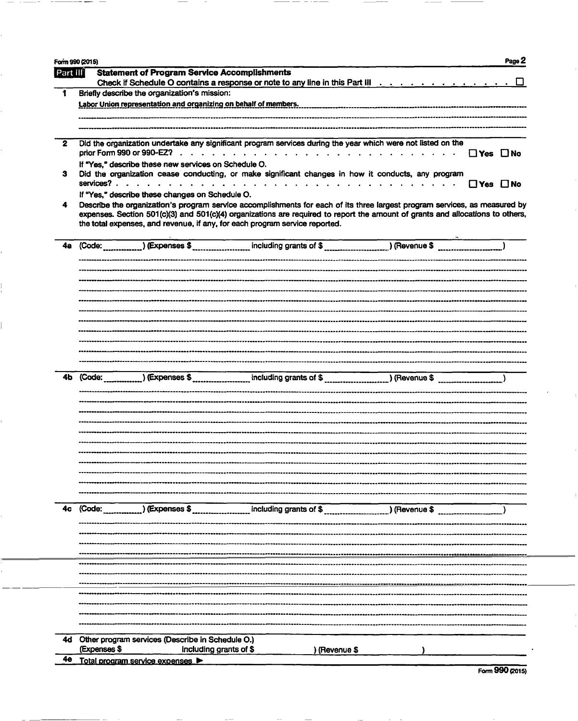|          | Form 990 (2015)<br>Page 2                                                                                                                                                                                                                                                                                                                                                    |
|----------|------------------------------------------------------------------------------------------------------------------------------------------------------------------------------------------------------------------------------------------------------------------------------------------------------------------------------------------------------------------------------|
| Part III | <b>Statement of Program Service Accomplishments</b>                                                                                                                                                                                                                                                                                                                          |
|          | Check if Schedule O contains a response or note to any line in this Part III $\dots \dots \dots \dots$                                                                                                                                                                                                                                                                       |
|          | Briefly describe the organization's mission:                                                                                                                                                                                                                                                                                                                                 |
|          | Labor Union representation and organizing on behalf of members.                                                                                                                                                                                                                                                                                                              |
|          |                                                                                                                                                                                                                                                                                                                                                                              |
| 2        | Did the organization undertake any significant program services during the year which were not listed on the                                                                                                                                                                                                                                                                 |
|          | prior Form 990 or 990-EZ? $\ldots$ $\ldots$ $\ldots$ $\ldots$ $\ldots$ $\ldots$ $\ldots$ $\ldots$ $\ldots$<br>$\Box$ Yes $\Box$ No<br>If "Yes," describe these new services on Schedule O.                                                                                                                                                                                   |
| з        | Did the organization cease conducting, or make significant changes in how it conducts, any program<br>services?<br>$\Box$ Yes $\Box$ No<br>$\mathbf{r}$ , and a set of the set of the set of the set of the set of the set of the set of the set of the set of the set of the set of the set of the set of the set of the set of the set of the set of the set of the set of |
|          | If "Yes," describe these changes on Schedule O.                                                                                                                                                                                                                                                                                                                              |
| 4        | Describe the organization's program service accomplishments for each of its three largest program services, as measured by<br>expenses. Section 501(c)(3) and 501(c)(4) organizations are required to report the amount of grants and allocations to others,<br>the total expenses, and revenue, if any, for each program service reported.                                  |
| 4а       | (Code:                                                                                                                                                                                                                                                                                                                                                                       |
|          |                                                                                                                                                                                                                                                                                                                                                                              |
|          |                                                                                                                                                                                                                                                                                                                                                                              |
|          |                                                                                                                                                                                                                                                                                                                                                                              |
|          |                                                                                                                                                                                                                                                                                                                                                                              |
|          |                                                                                                                                                                                                                                                                                                                                                                              |
|          |                                                                                                                                                                                                                                                                                                                                                                              |
|          |                                                                                                                                                                                                                                                                                                                                                                              |
|          |                                                                                                                                                                                                                                                                                                                                                                              |
| 4Ь.      |                                                                                                                                                                                                                                                                                                                                                                              |
|          |                                                                                                                                                                                                                                                                                                                                                                              |
|          |                                                                                                                                                                                                                                                                                                                                                                              |
|          |                                                                                                                                                                                                                                                                                                                                                                              |
|          |                                                                                                                                                                                                                                                                                                                                                                              |
|          |                                                                                                                                                                                                                                                                                                                                                                              |
|          |                                                                                                                                                                                                                                                                                                                                                                              |
|          |                                                                                                                                                                                                                                                                                                                                                                              |
|          |                                                                                                                                                                                                                                                                                                                                                                              |
|          |                                                                                                                                                                                                                                                                                                                                                                              |
| 4с       | (Code:                                                                                                                                                                                                                                                                                                                                                                       |
|          |                                                                                                                                                                                                                                                                                                                                                                              |
|          |                                                                                                                                                                                                                                                                                                                                                                              |
|          |                                                                                                                                                                                                                                                                                                                                                                              |
|          |                                                                                                                                                                                                                                                                                                                                                                              |
|          |                                                                                                                                                                                                                                                                                                                                                                              |
|          |                                                                                                                                                                                                                                                                                                                                                                              |
|          |                                                                                                                                                                                                                                                                                                                                                                              |
|          |                                                                                                                                                                                                                                                                                                                                                                              |
| 4d       | Other program services (Describe in Schedule O.)                                                                                                                                                                                                                                                                                                                             |
|          | (Expenses \$<br>including grants of \$<br>) (Revenue \$                                                                                                                                                                                                                                                                                                                      |
| 40       | Total program service expenses                                                                                                                                                                                                                                                                                                                                               |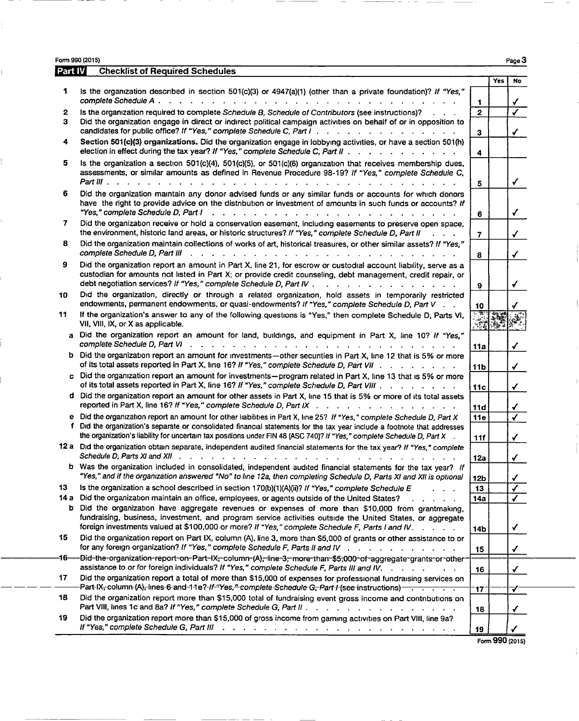Form 990 (2015)  $P$ age  $3$ 

Ĺ

 $\bar{\phantom{a}}$ 

 $\frac{1}{4}$ 

| Part IV | <b>Checklist of Required Schedules</b>                                                                                                                                                                                                                                                                             |                 |     |    |
|---------|--------------------------------------------------------------------------------------------------------------------------------------------------------------------------------------------------------------------------------------------------------------------------------------------------------------------|-----------------|-----|----|
|         |                                                                                                                                                                                                                                                                                                                    |                 | Yes | No |
| 1       | Is the organization described in section 501(c)(3) or 4947(a)(1) (other than a private foundation)? If "Yes,"<br>complete Schedule A.<br>$\mathbf{r}$ , $\mathbf{r}$ , $\mathbf{r}$ , $\mathbf{r}$ , $\mathbf{r}$ , $\mathbf{r}$ , $\mathbf{r}$ , $\mathbf{r}$ , $\mathbf{r}$ , $\mathbf{r}$ , $\mathbf{r}$        | 1               |     |    |
| 2       | Is the organization required to complete Schedule B, Schedule of Contributors (see instructions)?                                                                                                                                                                                                                  | $\mathbf{2}$    |     |    |
| з       | Did the organization engage in direct or indirect political campaign activities on behalf of or in opposition to<br>candidates for public office? If "Yes," complete Schedule C, Part I.                                                                                                                           |                 |     |    |
| 4       | Section 501(c)(3) organizations. Did the organization engage in lobbying activities, or have a section 501(h)                                                                                                                                                                                                      | 3               |     |    |
|         | election in effect during the tax year? If "Yes," complete Schedule C, Part II .<br>and the contract of the contract of the                                                                                                                                                                                        | 4               |     |    |
| 5       | Is the organization a section 501(c)(4), 501(c)(5), or 501(c)(6) organization that receives membership dues,<br>assessments, or similar amounts as defined in Revenue Procedure 98-19? If "Yes," complete Schedule C,<br>$Part III$ $\ldots$ $\ldots$                                                              | 5               |     | ✓  |
| 6       | Did the organization maintain any donor advised funds or any similar funds or accounts for which donors<br>have the right to provide advice on the distribution or investment of amounts in such funds or accounts? If<br>"Yes," complete Schedule D, Part I                                                       | 6               |     | ✔  |
| 7       | Did the organization receive or hold a conservation easement, including easements to preserve open space,<br>the environment, historic land areas, or historic structures? If "Yes," complete Schedule D, Part II                                                                                                  | 7               |     |    |
| 8       | Did the organization maintain collections of works of art, historical treasures, or other similar assets? If "Yes,"<br>complete Schedule D, Part III                                                                                                                                                               | 8               |     |    |
| 9       | Did the organization report an amount in Part X, line 21, for escrow or custodial account liability, serve as a<br>custodian for amounts not listed in Part X; or provide credit counseling, debt management, credit repair, or<br>debt negotiation services? If "Yes," complete Schedule D, Part IV .             | 9               |     | ✔  |
| 10      | Did the organization, directly or through a related organization, hold assets in temporarily restricted<br>endowments, permanent endowments, or quasi-endowments? If "Yes," complete Schedule D, Part V.                                                                                                           | 10              |     |    |
| 11      | If the organization's answer to any of the following questions is "Yes," then complete Schedule D, Parts VI,<br>VII, VIII, IX, or X as applicable.                                                                                                                                                                 | <u>r Wa</u>     | 攥   |    |
|         | a Did the organization report an amount for land, buildings, and equipment in Part X, line 10? If "Yes,"                                                                                                                                                                                                           | 11a             |     |    |
|         | b Did the organization report an amount for investments-other secunties in Part X, line 12 that is 5% or more<br>of its total assets reported in Part X, line 16? If "Yes," complete Schedule D, Part VII                                                                                                          | 11 <sub>b</sub> |     | ✓  |
|         | c Did the organization report an amount for investments-program related in Part X, line 13 that is 5% or more<br>of its total assets reported in Part X, line 16? If "Yes," complete Schedule D, Part VIII                                                                                                         | 11c             |     |    |
|         | d Did the organization report an amount for other assets in Part X, line 15 that is 5% or more of its total assets<br>reported in Part X, line 16? If "Yes," complete Schedule D, Part IX                                                                                                                          | <b>11d</b>      |     |    |
|         | e Did the organization report an amount for other liabilities in Part X, line 25? If "Yes," complete Schedule D, Part X                                                                                                                                                                                            | 11e             |     |    |
|         | f Did the organization's separate or consolidated financial statements for the tax year include a footnote that addresses<br>the organization's liability for uncertain tax positions under FIN 48 (ASC 740)? If "Yes," complete Schedule D, Part X .                                                              | 11f             |     |    |
|         | 12 a Did the organization obtain separate, independent audited financial statements for the tax year? If "Yes," complete<br>Schedule D. Parts XI and XII                                                                                                                                                           | 12a             |     |    |
|         | b Was the organization included in consolidated, independent audited financial statements for the tax year? If<br>"Yes," and if the organization answered "No" to line 12a, then completing Schedule D, Parts XI and XII is optional                                                                               | 12b             |     | ✓  |
| 13      | Is the organization a school described in section 170(b)(1)(A)(ii)? If "Yes," complete Schedule E<br>.                                                                                                                                                                                                             | 13              |     |    |
| 14 a    | Did the organization maintain an office, employees, or agents outside of the United States?<br>$\mathbf{L}=\mathbf{L}+\mathbf{L}$<br>$\sim$                                                                                                                                                                        | <b>14a</b>      |     |    |
|         | b Did the organization have aggregate revenues or expenses of more than \$10,000 from grantmaking,<br>fundraising, business, investment, and program service activities outside the United States, or aggregate<br>foreign investments valued at \$100,000 or more? If "Yes," complete Schedule F, Parts I and IV. |                 |     | ✔  |
| 15      | Did the organization report on Part IX, column (A), line 3, more than \$5,000 of grants or other assistance to or<br>for any foreign organization? If "Yes," complete Schedule F, Parts II and IV                                                                                                                  | <b>14b</b>      |     |    |
| -16-    | -Did-the-organization-report-on-Part-IX <del>,</del> -column-(A) <del>,</del> -line-3 <del>,</del> -more-than-\$5;000-of-aggregate-grants-or-other-                                                                                                                                                                | 15              |     |    |
|         | assistance to or for foreign individuals? If "Yes," complete Schedule F, Parts III and IV.                                                                                                                                                                                                                         | 16              |     | ✔  |
| 17      | Did the organization report a total of more than \$15,000 of expenses for professional fundraising services on<br>Part-IX-column-(A)-lines-6-and-11e?-If-"Yes," complete-Schedule-G-Part I (see instructions) -                                                                                                    | $17^{-}$        |     | ✓  |
| 18      | Did the organization report more than \$15,000 total of fundraising event gross income and contributions on<br>Part VIII, lines 1c and 8a? If "Yes," complete Schedule G, Part II                                                                                                                                  | 18              |     |    |
| 19      | Did the organization report more than \$15,000 of gross income from gaming activities on Part VIII, line 9a?<br>If "Yes," complete Schedule G, Part III (Allegency Alberta Alberta Alberta Alberta Alberta Alberta Alberta Alb                                                                                     | 19              |     | ✓  |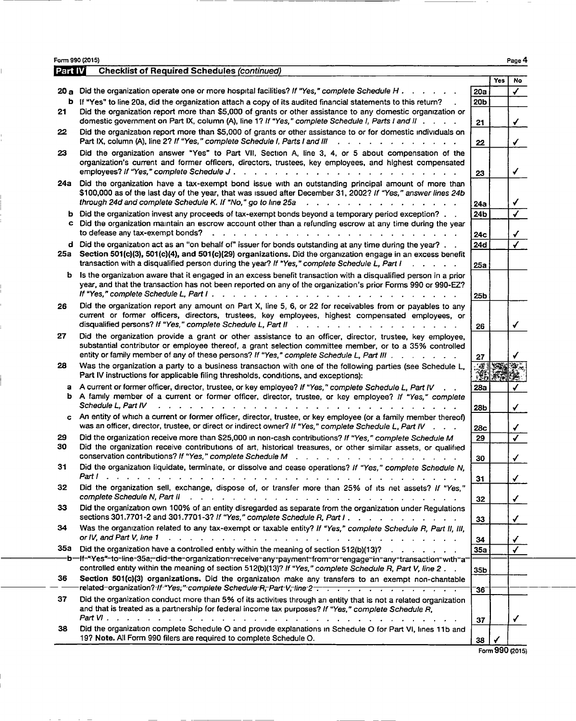Part IV **Checklist of Required Schedules (continued)** Yes No 20 a Did the organization operate one or more hospital facilities? If "Yes," complete Schedule H . . . . . . . . . 20a b If "Yes" to line 20a, did the organization attach a copy of its audited financial statements to this return? . 20b 21 Did the organization report more than \$5,000 of grants or other assistance to any domestic organization or domestic government on Part IX, column (A), line 1? If "Yes," complete Schedule I, Parts I and II . . . . 21 22 Did the organization report more than \$5,000 of grants or other assistance to or for domestic individuals on Part IX, column (A), line 2? If "Yes," complete Schedule I, Parts I and III . . . . . . . . . . . . . . 22 23 Did the organization answer "Yes" to Part VII, Section A, line 3, 4, or 5 about compensation of the organization's current and former officers, directors, trustees, key employees, and highest compensated employees? If Wes," complete Schedule J . . . . . . . . . . . . . . . . . . . . . . 23 3 24a Did the organization have a tax-exempt bond issue with an outstanding principal amount of more than \$100,000 as of the last day of the year, that was issued after December 31, 2002? If "Yes," answer lines 24b through 24d and complete Schedule K. If "No," go to line 25a . . . . . . . . . . . . . . . 24a 3 b Did the organization invest any proceeds of tax-exempt bonds beyond a temporary period exception? . . 24b c Did the organization maintain an escrow account other than a refunding escrow at any time during the year to defease any tax-exempt bonds? . . . . . . . . . . . . . . . . . . . . . . . . 24c 3 d Did the organization act as an "on behalf of" issuer for bonds outstanding at any time during the year? . .  $24d$ <br>25a Section 501(c)(3), 501(c)(4), and 501(c)(29) organizations. Did the organization engage in an excess Section 501(c)(3), 501(c)(4), and 501(c)(29) organizations. Did the organization engage in an excess benefit transaction with a disqualified person during the year? If "Yes," complete Schedule L, Part I . . . . . . . 25a b Is the organization aware that it engaged in an excess benefit transaction with a disqualified person in a prior year, and that the transaction has not been reported on any of the organization's prior Forms 990 or 990-EZ? If "Yes," complete Schedule L, Part <sup>I</sup> . . . . . . . . . . . . . . . . . . . . . . . . 25b 26 Did the organization report any amount on Part X, line 5, 6, or 22 for receivables from or payables to any current or former officers, directors, trustees, key employees, highest compensated employees, or disqualified persons? If "Yes," complete Schedule L, Part tl . . . . . . . . . . . . . . . . 26 3 27 Did the organization provide a grant or other assistance to an officer, director, trustee, key employee, substantial contributor or employee thereof, a grant selection committee member, or to a 35% controlled entity or family member of any of these persons? If "Yes," complete Schedule L, Part III . . . . . . . . 27 28 Was the organization a party to a business transaction with one of the following parties (see Schedule L, Part IV instructions for applicable filing thresholds, conditions, and exceptions): a A current or former officer, director, trustee, or key employee? If "Yes," complete Schedule L, Part IV . . 28a b A family member of a current or former officer, director, trustee, or key employee? If "Yes," complete Schedule L, Part 1V . . . . . . . . . . . . . . . . . . . . . . . . . . . . . 28b 3 c An entity of which a current or former officer, director, trustee, or key employee (or a family member thereof) was an officer, director, trustee, or direct or indirect owner? If "Yes," complete Schedule L, Part IV . . . . 28c 29 Did the organization receive more than \$25,000 in non-cash contributions? If "Yes," complete Schedule M  $\boxed{29}$ <br>30 Did the organization receive contributions of art, bistorical treasures, or other similar assets, or q Did the organization receive contributions of art, historical treasures, or other similar assets, or qualified conservation contributions? If "Yes," complete Schedule M  $\ldots$  . . . . . . . . . . . . . . . . 30 31 Did the organization liquidate, terminate, or dissolve and cease operations? If "Yes," complete Schedule N, Partl . . . . . . . . . . . . . . . . . . . . . . . . . . . . . . . . . . <sup>31</sup> 3 32 Did the organization sell, exchange, dispose of, or transfer more than 25% of its net assets? If "Yes," complete Schedule N, Part <sup>11</sup> . . . . . . . . . . . . . . . . . . . . . . . . . . 32 3 33 Did the organization own 100% of an entity disregarded as separate from the organization under Regulations sections 301.7701-2 and 301.7701-3? If "Yes," complete Schedule R, Part I . . . . . . . . . . . . . . 33 34 Was the organization related to any tax-exempt or taxable entity? If "Yes," complete Schedule R, Part II, III, or 1V, and Part V, line <sup>1</sup> . . . . . . . . . . . . . . . . . . . . . . . . . . . . 34 3 35a Did the organization have a controlled entity within the meaning of section 512(b)(13)? . . . . . . . . . . . 35a<br>  $\rightarrow$  b=If="Yes"=to=line=35a=did=the=organization=receive=any=payment=from=or=engage=in=any=transaction controlled entity within the meaning of section 512(b)(13)? If "Yes," complete Schedule R, Part V, line 2.  $35<sub>b</sub>$ 36 Section 501(c)(3) organizations. Did the organization make any transfers to an exempt non-chantable related-organization?-If-"Yes;"-complete Schedule-R,-Part-V,-line-2 . . . . . . . . . . . . . . . . . 36 37 Did the organization conduct more than 5% of its activities through an entity that is not <sup>a</sup> related organization and that is treated as a partnership for federal income tax purposes? If "Yes," complete Schedule R, Part VI . . . . . . . . . . . . . . . . . . . . . . . . . . . . . . . . . .  $37$  |  $\sqrt{}$ 38 Did the organization complete Schedule O and provide explanations in Schedule O for Part VI, lines 11b and 19? Note. All Form 990 filers are required to complete Schedule 0. 38.

Form 990 (2015) Page

Form 990 (2015)

Page 4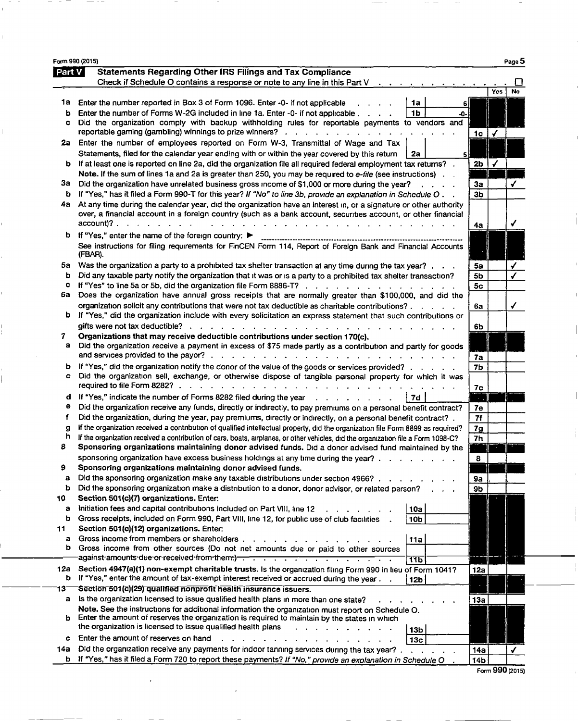|              | Form 990 (2015)                                                                                                                                                                                                                   |                   | Page 5               |
|--------------|-----------------------------------------------------------------------------------------------------------------------------------------------------------------------------------------------------------------------------------|-------------------|----------------------|
| Part V       | <b>Statements Regarding Other IRS Filings and Tax Compliance</b>                                                                                                                                                                  |                   |                      |
|              | Check if Schedule O contains a response or note to any line in this Part $V \cdot \cdot \cdot$ .                                                                                                                                  |                   |                      |
|              |                                                                                                                                                                                                                                   |                   | Yes<br>No            |
| 1a           | Enter the number reported in Box 3 of Form 1096. Enter -0- if not applicable<br>1a<br>61                                                                                                                                          |                   |                      |
| ь            | 1 <sub>b</sub><br>Enter the number of Forms W-2G included in line 1a. Enter -0- if not applicable.<br>-0-                                                                                                                         |                   |                      |
| c            | Did the organization comply with backup withholding rules for reportable payments to vendors and<br>reportable gaming (gambling) winnings to prize winners? $\ldots$ ,                                                            |                   | $\blacktriangledown$ |
|              | 2a Enter the number of employees reported on Form W-3, Transmittal of Wage and Tax                                                                                                                                                | 1c                |                      |
|              | Statements, filed for the calendar year ending with or within the year covered by this return<br>2а                                                                                                                               |                   |                      |
|              | b If at least one is reported on line 2a, did the organization file all required federal employment tax returns?                                                                                                                  | 2b                |                      |
|              | Note. If the sum of lines 1a and 2a is greater than 250, you may be required to e-file (see instructions).                                                                                                                        |                   |                      |
| за           | Did the organization have unrelated business gross income of \$1,000 or more during the year?<br>$\mathcal{L}^{\text{max}}$ and $\mathcal{L}^{\text{max}}$                                                                        | За                | ✔                    |
| b            | If "Yes," has it filed a Form 990-T for this year? If "No" to line 3b, provide an explanation in Schedule O . $\,$ .                                                                                                              | Зb                |                      |
| 4а           | At any time during the calendar year, did the organization have an interest in, or a signature or other authority                                                                                                                 |                   |                      |
|              | over, a financial account in a foreign country (such as a bank account, securities account, or other financial                                                                                                                    |                   |                      |
|              | account)?<br>$\mathbf{L} = \mathbf{L} \times \mathbf{L}$<br>the contract of the contract of the contract of the contract of                                                                                                       | 4а                | ✔                    |
|              | <b>b</b> If "Yes," enter the name of the foreign country:                                                                                                                                                                         |                   |                      |
|              | See instructions for filing requirements for FinCEN Form 114, Report of Foreign Bank and Financial Accounts                                                                                                                       |                   |                      |
|              | (FBAR).                                                                                                                                                                                                                           |                   |                      |
| 5а<br>b      | Was the organization a party to a prohibited tax shelter transaction at any time during the tax year?<br>Did any taxable party notify the organization that it was or is a party to a prohibited tax shelter transaction?         | 5a                | ✔                    |
| c            | If "Yes" to line 5a or 5b, did the organization file Form 8886-T?                                                                                                                                                                 | 5b<br>5c          |                      |
| 6а           | Does the organization have annual gross receipts that are normally greater than \$100,000, and did the                                                                                                                            |                   |                      |
|              | organization solicit any contributions that were not tax deductible as charitable contributions?                                                                                                                                  | 6а                | ✓                    |
|              | b If "Yes," did the organization include with every solicitation an express statement that such contributions or                                                                                                                  |                   |                      |
|              | gifts were not tax deductible?                                                                                                                                                                                                    | 6b                |                      |
| 7            | Organizations that may receive deductible contributions under section 170(c).                                                                                                                                                     |                   |                      |
| a            | Did the organization receive a payment in excess of \$75 made partly as a contribution and partly for goods                                                                                                                       |                   |                      |
|              | and services provided to the payor?.<br>the contract of the contract of the contract of the contract of the contract of the contract of the contract of                                                                           | 7a                |                      |
| ь            | If "Yes," did the organization notify the donor of the value of the goods or services provided?                                                                                                                                   | 7 <sub>b</sub>    |                      |
| c            | Did the organization sell, exchange, or otherwise dispose of tangible personal property for which it was                                                                                                                          |                   |                      |
|              | required to file Form 8282? $\ldots$ $\ldots$ $\ldots$ $\ldots$ $\ldots$ $\ldots$ $\ldots$ $\ldots$ $\ldots$                                                                                                                      | 7с                |                      |
| d            | If "Yes," indicate the number of Forms 8282 filed during the year enter-<br><b>7d</b>                                                                                                                                             | $\sim$ $\sim$     |                      |
| е<br>f       | Did the organization receive any funds, directly or indirectly, to pay premiums on a personal benefit contract?<br>Did the organization, during the year, pay premiums, directly or indirectly, on a personal benefit contract? . | 7е<br>7f          |                      |
| $\mathbf{g}$ | If the organization received a contribution of qualified intellectual property, did the organization file Form 8899 as required?                                                                                                  | 7g                |                      |
| h            | If the organization received a contribution of cars, boats, airplanes, or other vehicles, did the organization file a Form 1098-C?                                                                                                | 7h                |                      |
| 8            | Sponsoring organizations maintaining donor advised funds. Did a donor advised fund maintained by the                                                                                                                              |                   |                      |
|              | sponsoring organization have excess business holdings at any time during the year?.                                                                                                                                               | 8                 |                      |
| 9            | Sponsoring organizations maintaining donor advised funds.                                                                                                                                                                         |                   |                      |
| a            | Did the sponsoring organization make any taxable distributions under section 4966?                                                                                                                                                | 9a                |                      |
| b            | Did the sponsoring organization make a distribution to a donor, donor advisor, or related person?                                                                                                                                 | 9b                |                      |
| 10           | Section 501(c)(7) organizations. Enter:                                                                                                                                                                                           |                   |                      |
| а            | Initiation fees and capital contributions included on Part VIII, line 12<br>10a                                                                                                                                                   |                   |                      |
| b            | Gross receipts, included on Form 990, Part VIII, line 12, for public use of club facilities<br>10b                                                                                                                                |                   |                      |
| 11<br>а      | Section 501(c)(12) organizations. Enter:<br>Gross income from members or shareholders.                                                                                                                                            |                   |                      |
| b            | 11a<br>Gross income from other sources (Do not net amounts due or paid to other sources                                                                                                                                           |                   |                      |
|              | against-amounts-due-or-received-from-them-) - - - - - - - - - - - - - - - - - -<br>ᠯᠯ᠋ᡖ                                                                                                                                           |                   |                      |
| 12a          | Section 4947(a)(1) non-exempt charitable trusts. Is the organization filing Form 990 in lieu of Form 1041?                                                                                                                        | 12a               |                      |
| b            | If "Yes," enter the amount of tax-exempt interest received or accrued during the year.<br>12 <sub>b</sub>                                                                                                                         |                   |                      |
| 13           | Section 501(c)(29) qualified nonprofit health insurance issuers.                                                                                                                                                                  |                   |                      |
| a            | Is the organization licensed to issue qualified health plans in more than one state?                                                                                                                                              | 13a               |                      |
|              | Note. See the instructions for additional information the organization must report on Schedule O.                                                                                                                                 |                   |                      |
| b            | Enter the amount of reserves the organization is required to maintain by the states in which<br>the organization is licensed to issue qualified health plans                                                                      |                   |                      |
|              | 13 <sub>b</sub><br>Enter the amount of reserves on hand                                                                                                                                                                           |                   |                      |
| c            | <b>Contract Contract</b><br>13 <sub>c</sub><br>Did the organization receive any payments for indoor tanning services during the tax year?.                                                                                        |                   |                      |
| 14a          | b If "Yes," has it filed a Form 720 to report these payments? If "No," provide an explanation in Schedule O                                                                                                                       | 14a<br><b>14b</b> | ✔                    |
|              |                                                                                                                                                                                                                                   |                   |                      |

Form 990 (2015)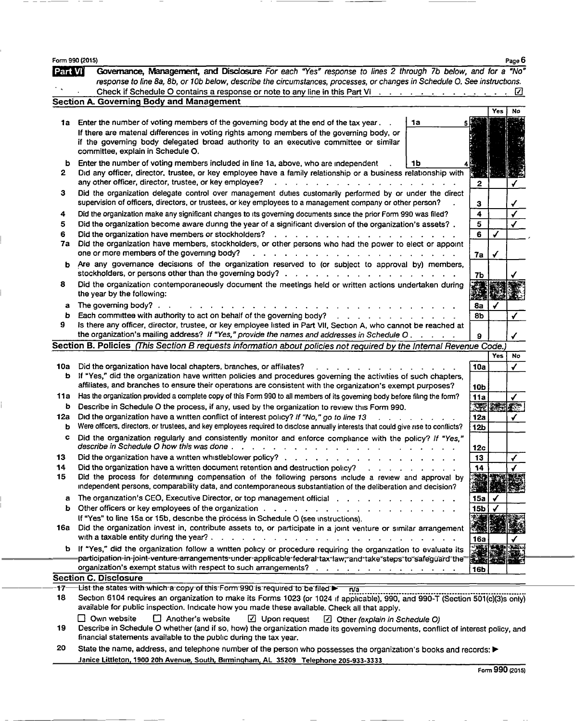|          | Form 990 (2015)                                                                                                                                                                                                                                                                                                                                                                                           |    |                 |              | Page 6       |
|----------|-----------------------------------------------------------------------------------------------------------------------------------------------------------------------------------------------------------------------------------------------------------------------------------------------------------------------------------------------------------------------------------------------------------|----|-----------------|--------------|--------------|
| Part Vi  | Governance, Management, and Disclosure For each "Yes" response to lines 2 through 7b below, and for a "No"                                                                                                                                                                                                                                                                                                |    |                 |              |              |
|          | response to line 8a, 8b, or 10b below, describe the circumstances, processes, or changes in Schedule O. See instructions.                                                                                                                                                                                                                                                                                 |    |                 |              |              |
|          | Check if Schedule O contains a response or note to any line in this Part VI $\cdots$ $\cdots$ $\cdots$ $\cdots$                                                                                                                                                                                                                                                                                           |    |                 |              | ☑            |
|          | <b>Section A. Governing Body and Management</b>                                                                                                                                                                                                                                                                                                                                                           |    |                 | Yes          |              |
|          | 1a Enter the number of voting members of the governing body at the end of the tax year.                                                                                                                                                                                                                                                                                                                   | 1a |                 |              | No           |
|          | If there are material differences in voting rights among members of the governing body, or                                                                                                                                                                                                                                                                                                                |    |                 |              |              |
|          | if the governing body delegated broad authority to an executive committee or similar                                                                                                                                                                                                                                                                                                                      |    |                 |              |              |
|          | committee, explain in Schedule O.                                                                                                                                                                                                                                                                                                                                                                         |    |                 |              |              |
| b        | Enter the number of voting members included in line 1a, above, who are independent                                                                                                                                                                                                                                                                                                                        | 1b |                 |              |              |
| 2        | Did any officer, director, trustee, or key employee have a family relationship or a business relationship with<br>any other officer, director, trustee, or key employee?<br>a construction of the construction of the construction of the construction of the construction of the construction of the construction of the construction of the construction of the construction of the construction of the |    | 2               |              |              |
| з        | Did the organization delegate control over management duties customarily performed by or under the direct<br>supervision of officers, directors, or trustees, or key employees to a management company or other person?                                                                                                                                                                                   |    | 3               |              |              |
| 4        | Did the organization make any significant changes to its governing documents since the prior Form 990 was filed?                                                                                                                                                                                                                                                                                          |    | 4               |              |              |
| 5        | Did the organization become aware dunng the year of a significant diversion of the organization's assets?.                                                                                                                                                                                                                                                                                                |    | 5               |              |              |
| 6        |                                                                                                                                                                                                                                                                                                                                                                                                           |    | 6               | $\checkmark$ |              |
| 7a       | Did the organization have members, stockholders, or other persons who had the power to elect or appoint<br>one or more members of the governing body?<br>and the company of the company of the company of the company of the company of the company of the company of the company of the company of the company of the company of the company of the company of the company of the comp                   |    | 7а              | ✔            |              |
| ь        | Are any governance decisions of the organization reserved to (or subject to approval by) members,                                                                                                                                                                                                                                                                                                         |    | 7b              |              |              |
| 8        | Did the organization contemporaneously document the meetings held or written actions undertaken during<br>the year by the following:                                                                                                                                                                                                                                                                      |    |                 |              |              |
| а        | The governing body?.<br>and the contract of the contract of the contract of the                                                                                                                                                                                                                                                                                                                           |    | 8а              |              |              |
| b        | Each committee with authority to act on behalf of the governing body?<br>and the state of the state of the state of the state of the state of the state of the state of the state of the                                                                                                                                                                                                                  |    | 8Ь              |              |              |
| 9        | is there any officer, director, trustee, or key employee listed in Part VII, Section A, who cannot be reached at                                                                                                                                                                                                                                                                                          |    | 9               |              | ✔            |
|          | Section B. Policies (This Section B requests information about policies not required by the Internal Revenue Code.                                                                                                                                                                                                                                                                                        |    |                 |              |              |
|          |                                                                                                                                                                                                                                                                                                                                                                                                           |    |                 | <b>Yes</b>   | No           |
| 10a<br>b | Did the organization have local chapters, branches, or affiliates?<br>If "Yes," did the organization have written policies and procedures governing the activities of such chapters,                                                                                                                                                                                                                      |    | 10a             |              | $\checkmark$ |
|          | affiliates, and branches to ensure their operations are consistent with the organization's exempt purposes?                                                                                                                                                                                                                                                                                               |    | 10 <sub>b</sub> |              |              |
| 11a      | Has the organization provided a complete copy of this Form 990 to all members of its governing body before filing the form?                                                                                                                                                                                                                                                                               |    | 11a             |              |              |
| b        | Describe in Schedule O the process, if any, used by the organization to review this Form 990.                                                                                                                                                                                                                                                                                                             |    |                 |              | 深深影像         |
| 12a      | Did the organization have a written conflict of interest policy? If "No," go to line 13                                                                                                                                                                                                                                                                                                                   |    | 12a             |              | ✔            |
| ь        | Were officers, directors, or trustees, and key employees required to disclose annually interests that could give rise to conflicts?                                                                                                                                                                                                                                                                       |    | 12b             |              |              |
| c        | Did the organization regularly and consistently monitor and enforce compliance with the policy? If "Yes,"<br>describe in Schedule O how this was done .<br>the contract of the contract of the contract of the contract of the contract of the contract of the contract of                                                                                                                                |    | 12c             |              |              |
| 13       | Did the organization have a written whistleblower policy?.                                                                                                                                                                                                                                                                                                                                                |    | 13              |              |              |
| 14       | Did the organization have a written document retention and destruction policy?                                                                                                                                                                                                                                                                                                                            |    | 14              |              |              |
| 15       | Did the process for determining compensation of the following persons include a review and approval by<br>independent persons, comparability data, and contemporaneous substantiation of the deliberation and decision?                                                                                                                                                                                   |    | 美好              |              |              |
| a        | The organization's CEO, Executive Director, or top management official response to the context of the context of the organization's CEO, Executive Director, or to promote management of the context of the context of the con                                                                                                                                                                            |    | <b>15a</b>      |              |              |
| b        |                                                                                                                                                                                                                                                                                                                                                                                                           |    | 15 <sub>b</sub> |              |              |
|          | If "Yes" to line 15a or 15b, describe the process in Schedule O (see instructions).                                                                                                                                                                                                                                                                                                                       |    |                 |              |              |
| 16а      | Did the organization invest in, contribute assets to, or participate in a joint venture or similar arrangement<br>with a taxable entity during the year?.<br>and a series of the contract of the contract of the contract of the contract of the contract of the contract of                                                                                                                              |    | 16a             |              |              |
|          | b If "Yes," did the organization follow a written policy or procedure requiring the organization to evaluate its<br>participation-in-joint-venture-arrangements-under-applicable-federal-tax-law, and take steps to safeguard the                                                                                                                                                                         |    | 满<br>医细胞性的      |              |              |
|          | organization's exempt status with respect to such arrangements?                                                                                                                                                                                                                                                                                                                                           |    | 16b             |              |              |
| 17–      | <b>Section C. Disclosure</b><br>List the states with which a copy of this Form 990 is required to be filed <b>by</b> n/a                                                                                                                                                                                                                                                                                  |    |                 |              |              |
| 18       | Section 6104 requires an organization to make its Forms 1023 (or 1024 if applicable), 990, and 990-T (Section 501(c)(3)s only)<br>available for public inspection. Indicate how you made these available. Check all that apply.                                                                                                                                                                           |    |                 |              |              |
|          | $\Box$ Own website<br>$\Box$ Another's website<br>$\Box$ Upon request<br>$\Box$ Other (explain in Schedule O)                                                                                                                                                                                                                                                                                             |    |                 |              |              |
| 19       | Describe in Schedule O whether (and if so, how) the organization made its governing documents, conflict of interest policy, and<br>financial statements available to the public during the tax year.                                                                                                                                                                                                      |    |                 |              |              |
| 20       | State the name, address, and telephone number of the person who possesses the organization's books and records:                                                                                                                                                                                                                                                                                           |    |                 |              |              |
|          | Janice Littleton, 1900 20h Avenue, South, Bırmingham, AL 35209 Telephone 205-933-3333                                                                                                                                                                                                                                                                                                                     |    |                 |              |              |

 $\cdots$ 

--

— ———<del>——</del>——————

L

ŀ.

 $\overline{\phantom{m}}$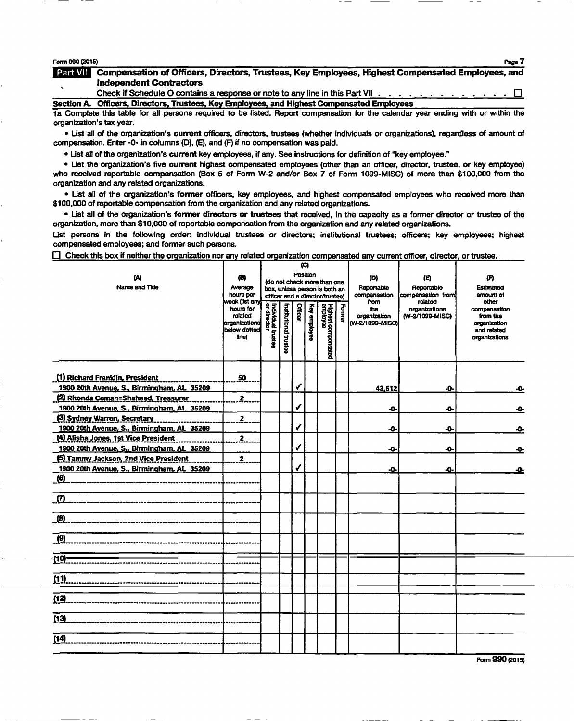## Form 090 (2015) Page 7

Form 990 (2015)<br>**Detail Mill** Compensation of Officers, Directors, Trustees, Key Employees, Highest Compensated Employees, and Independent Contractors

Check if Schedule O contains a response or note to any line in this Part VII. Section A Officers, Directors, Trustees, Key Employees, and Highest Compensated Employees

1a Complete this table for all persons required to be listed. Report compensation for the calendar year ending with or within the organization's tax year.

• List all of the organization's current officers, directors, trustees (whether individuals or organizations), regardless of amount of compensation. Enter -0- in columns (D), (E), and (F) if no compensation was paid.

• List all of the organization's current key employees, if any. See instructions for definition of "key employee."

• List the organization's five current highest compensated employees (other than an officer, director, trustee, or key employee) who received reportable compensation (Box 5 of Form W-2 and/or Box 7 of Form 1099-MISC) of more than \$100,000 from the organization and any related organizations.

• List all of the organization's former officers, key employees, and highest compensated employees who received more than \$100,000 of reportable compensation from the organization and any related organizations.

• List all of the organization's former directors or trustees that received, in the capacity as a former director or trustee of the organization, more than \$10,000 of reportable compensation from the organization and any related organizations.

List persons in the following order individual trustees or directors; institutional trustees; officers; key employees; highest compensated employees; and former such persons.

 $\Box$  Check this box if neither the organization nor any related organization compensated any current officer, director, or trustee.

| ω<br>Name and Title                                                               | (B)<br>Average<br>hours per<br>week (list any<br>hours for<br>related<br>organizations<br>below dotted<br>line) | Individual trustee<br>  or director | Institutional trustee | Position<br><b>Officer</b> | (C)<br>Key employee | (do not check more than one<br>box, unless person is both an<br>officer and a director/trustee)<br>Highest compensated<br>employee | Former | (D)<br>Reportable<br>compensation<br>from<br>the<br>organization<br> W-2/1099-MISC) | œ<br>Reportable<br>compensation from<br>related<br>organizations<br>(W-2/1099-MISC) | (F)<br>Estimated<br>amount of<br>other<br>compensation<br>from the<br>organization<br>and related<br>organizations |
|-----------------------------------------------------------------------------------|-----------------------------------------------------------------------------------------------------------------|-------------------------------------|-----------------------|----------------------------|---------------------|------------------------------------------------------------------------------------------------------------------------------------|--------|-------------------------------------------------------------------------------------|-------------------------------------------------------------------------------------|--------------------------------------------------------------------------------------------------------------------|
| (1) Richard Franklin, President<br>1900 20th Avenue, S., Birmingham, AL 35209     | 50                                                                                                              |                                     |                       | √                          |                     |                                                                                                                                    |        |                                                                                     | -0-                                                                                 |                                                                                                                    |
|                                                                                   | $\overline{2}$                                                                                                  |                                     |                       |                            |                     |                                                                                                                                    |        | 43,512                                                                              |                                                                                     | -0-                                                                                                                |
| (2) Rhonda Coman=Shaheed, Treasurer<br>1900 20th Avenue, S., Birmingham, AL 35209 |                                                                                                                 |                                     |                       | √                          |                     |                                                                                                                                    |        | -0-                                                                                 | -0-                                                                                 | -0-                                                                                                                |
| (3) Sydney Warren, Secretary                                                      | $\mathbf{z}$                                                                                                    |                                     |                       |                            |                     |                                                                                                                                    |        |                                                                                     |                                                                                     |                                                                                                                    |
| 1900 20th Avenue, S., Birmingham, AL 35209                                        |                                                                                                                 |                                     |                       | √                          |                     |                                                                                                                                    |        | -0-                                                                                 | -0-                                                                                 | ᠊ᡐ                                                                                                                 |
| (4) Alisha Jones, 1st Vice President                                              | $\overline{2}$                                                                                                  |                                     |                       |                            |                     |                                                                                                                                    |        |                                                                                     |                                                                                     |                                                                                                                    |
| 1900 20th Avenue, S., Birmingham, AL 35209                                        |                                                                                                                 |                                     |                       | ✔                          |                     |                                                                                                                                    |        | -0-                                                                                 | -0-                                                                                 | -0-                                                                                                                |
| (5) Tammy Jackson, 2nd Vice President                                             | 2                                                                                                               |                                     |                       |                            |                     |                                                                                                                                    |        |                                                                                     |                                                                                     |                                                                                                                    |
| 1900 20th Avenue, S., Birmingham, AL 35209                                        |                                                                                                                 |                                     |                       | √                          |                     |                                                                                                                                    |        | -0-                                                                                 | -0-                                                                                 | ᠊ᡐ                                                                                                                 |
| (6)                                                                               |                                                                                                                 |                                     |                       |                            |                     |                                                                                                                                    |        |                                                                                     |                                                                                     |                                                                                                                    |
| $\boldsymbol{\sigma}$                                                             |                                                                                                                 |                                     |                       |                            |                     |                                                                                                                                    |        |                                                                                     |                                                                                     |                                                                                                                    |
| (8)                                                                               |                                                                                                                 |                                     |                       |                            |                     |                                                                                                                                    |        |                                                                                     |                                                                                     |                                                                                                                    |
| $\overline{9}$                                                                    |                                                                                                                 |                                     |                       |                            |                     |                                                                                                                                    |        |                                                                                     |                                                                                     |                                                                                                                    |
| (10)                                                                              |                                                                                                                 |                                     |                       |                            |                     |                                                                                                                                    |        |                                                                                     |                                                                                     |                                                                                                                    |
| (11)                                                                              |                                                                                                                 |                                     |                       |                            |                     |                                                                                                                                    |        |                                                                                     |                                                                                     |                                                                                                                    |
|                                                                                   |                                                                                                                 |                                     |                       |                            |                     |                                                                                                                                    |        |                                                                                     |                                                                                     |                                                                                                                    |
| (12)                                                                              |                                                                                                                 |                                     |                       |                            |                     |                                                                                                                                    |        |                                                                                     |                                                                                     |                                                                                                                    |
| (13)                                                                              |                                                                                                                 |                                     |                       |                            |                     |                                                                                                                                    |        |                                                                                     |                                                                                     |                                                                                                                    |
| (14)                                                                              |                                                                                                                 |                                     |                       |                            |                     |                                                                                                                                    |        |                                                                                     |                                                                                     |                                                                                                                    |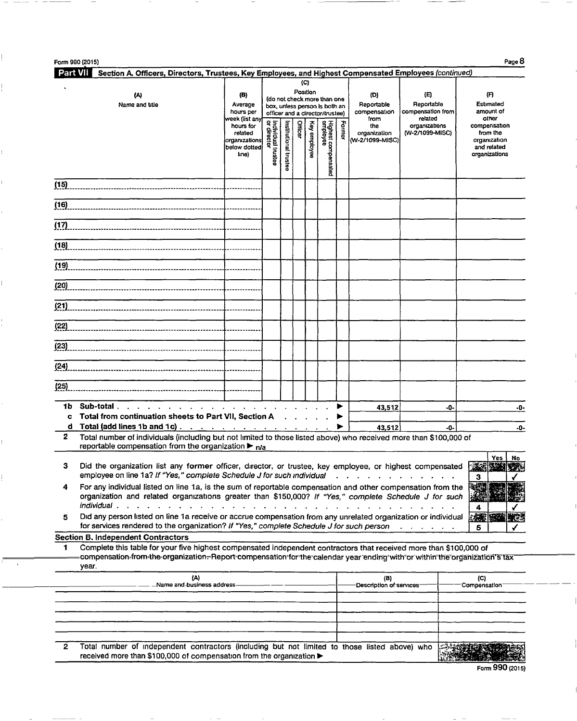| <b>Part VII</b> | Section A. Officers, Directors, Trustees, Key Employees, and Highest Compensated Employees (continued)                                                                                                                                                                                            |                                                                                                                                                                                                                                |                                   |                                   |          | (C)             |                                                                                                 |        |                                                                                               |                                             |     |                                                                                   |
|-----------------|---------------------------------------------------------------------------------------------------------------------------------------------------------------------------------------------------------------------------------------------------------------------------------------------------|--------------------------------------------------------------------------------------------------------------------------------------------------------------------------------------------------------------------------------|-----------------------------------|-----------------------------------|----------|-----------------|-------------------------------------------------------------------------------------------------|--------|-----------------------------------------------------------------------------------------------|---------------------------------------------|-----|-----------------------------------------------------------------------------------|
|                 | (A)<br>Name and title                                                                                                                                                                                                                                                                             | (B)<br>Average<br>hours per                                                                                                                                                                                                    |                                   |                                   | Position |                 | (do not check more than one<br>box, unless person is both an<br>officer and a director/trustee) |        | (D)<br>Reportable<br>compensation                                                             | (E)<br>Reportable<br>compensation from      |     | កោ<br>Estimated<br>amount of                                                      |
|                 |                                                                                                                                                                                                                                                                                                   | week (list anv<br>hours for<br>related<br>organizations<br>below dotted<br>lme)                                                                                                                                                | Individual trustee<br>or director | Institutional trustee             | Officer  | Κøγ<br>employee | Highest compensated<br>employee                                                                 | Former | from<br>the<br>organization<br>(W-2/1099-MISC)                                                | related<br>organizations<br>(W-2/1099-MISC) |     | other<br>compensation<br>from the<br>organization<br>and related<br>organizations |
| (15)            |                                                                                                                                                                                                                                                                                                   |                                                                                                                                                                                                                                |                                   |                                   |          |                 |                                                                                                 |        |                                                                                               |                                             |     |                                                                                   |
| (16)            |                                                                                                                                                                                                                                                                                                   |                                                                                                                                                                                                                                |                                   |                                   |          |                 |                                                                                                 |        |                                                                                               |                                             |     |                                                                                   |
| (17)            |                                                                                                                                                                                                                                                                                                   |                                                                                                                                                                                                                                |                                   |                                   |          |                 |                                                                                                 |        |                                                                                               |                                             |     |                                                                                   |
|                 |                                                                                                                                                                                                                                                                                                   |                                                                                                                                                                                                                                |                                   |                                   |          |                 |                                                                                                 |        |                                                                                               |                                             |     |                                                                                   |
| (19)            |                                                                                                                                                                                                                                                                                                   |                                                                                                                                                                                                                                |                                   |                                   |          |                 |                                                                                                 |        |                                                                                               |                                             |     |                                                                                   |
| (20)            |                                                                                                                                                                                                                                                                                                   |                                                                                                                                                                                                                                |                                   |                                   |          |                 |                                                                                                 |        |                                                                                               |                                             |     |                                                                                   |
| (21)            |                                                                                                                                                                                                                                                                                                   |                                                                                                                                                                                                                                |                                   |                                   |          |                 |                                                                                                 |        |                                                                                               |                                             |     |                                                                                   |
| (22)            |                                                                                                                                                                                                                                                                                                   |                                                                                                                                                                                                                                |                                   |                                   |          |                 |                                                                                                 |        |                                                                                               |                                             |     |                                                                                   |
| (23)            |                                                                                                                                                                                                                                                                                                   |                                                                                                                                                                                                                                |                                   |                                   |          |                 |                                                                                                 |        |                                                                                               |                                             |     |                                                                                   |
| (24)            |                                                                                                                                                                                                                                                                                                   |                                                                                                                                                                                                                                |                                   |                                   |          |                 |                                                                                                 |        |                                                                                               |                                             |     |                                                                                   |
| (25)            |                                                                                                                                                                                                                                                                                                   |                                                                                                                                                                                                                                |                                   |                                   |          |                 |                                                                                                 |        |                                                                                               |                                             |     |                                                                                   |
| 1Ь<br>c.        | Sub-total.<br>the contract of the contract of the contract of the contract of the contract of the contract of the contract of<br>Total from continuation sheets to Part VII, Section A                                                                                                            | and the contract of the contract of the contract of the contract of the contract of the contract of the contract of the contract of the contract of the contract of the contract of the contract of the contract of the contra |                                   | <b>Contract Contract Contract</b> |          |                 |                                                                                                 | ▶      | 43,512                                                                                        |                                             | -0- | -0-                                                                               |
| $\mathbf{z}$    | d Total (add lines 1b and 1c) $\ldots$ $\ldots$ $\ldots$ $\ldots$ $\ldots$ $\ldots$<br>Total number of individuals (including but not limited to those listed above) who received more than \$100,000 of<br>reportable compensation from the organization $\blacktriangleright$ $_{\mathsf{n/a}}$ |                                                                                                                                                                                                                                |                                   |                                   |          |                 |                                                                                                 | ▶      | 43,512                                                                                        |                                             | -0- | -0-                                                                               |
| з               | Did the organization list any former officer, director, or trustee, key employee, or highest compensated<br>employee on line 1a? If "Yes," complete Schedule J for such individual                                                                                                                |                                                                                                                                                                                                                                |                                   |                                   |          |                 |                                                                                                 |        |                                                                                               |                                             |     | Yes<br>No<br>3                                                                    |
| 4               | For any individual listed on line 1a, is the sum of reportable compensation and other compensation from the<br>organization and related organizations greater than \$150,000? If "Yes," complete Schedule J for such<br>individual .                                                              |                                                                                                                                                                                                                                |                                   |                                   |          |                 |                                                                                                 |        |                                                                                               |                                             |     |                                                                                   |
| 5               | Did any person listed on line 1a receive or accrue compensation from any unrelated organization or individual<br>for services rendered to the organization? If "Yes," complete Schedule J for such person                                                                                         |                                                                                                                                                                                                                                |                                   |                                   |          |                 |                                                                                                 |        |                                                                                               |                                             |     | 接票<br>5                                                                           |
|                 | <b>Section B. Independent Contractors</b>                                                                                                                                                                                                                                                         |                                                                                                                                                                                                                                |                                   |                                   |          |                 |                                                                                                 |        |                                                                                               |                                             |     |                                                                                   |
| 1               | Complete this table for your five highest compensated independent contractors that received more than \$100,000 of<br>compensation-from-the organization=Report-compensation for the calendar year ending with or within the organization sitax<br>year.                                          |                                                                                                                                                                                                                                |                                   |                                   |          |                 |                                                                                                 |        |                                                                                               |                                             |     |                                                                                   |
|                 | (A)<br>-Name and business address-                                                                                                                                                                                                                                                                |                                                                                                                                                                                                                                |                                   |                                   |          |                 |                                                                                                 |        | (B)<br>Description of services                                                                |                                             |     | (C)<br>Compensation <sup>-</sup>                                                  |
|                 |                                                                                                                                                                                                                                                                                                   |                                                                                                                                                                                                                                |                                   |                                   |          |                 |                                                                                                 |        |                                                                                               |                                             |     |                                                                                   |
|                 |                                                                                                                                                                                                                                                                                                   |                                                                                                                                                                                                                                |                                   |                                   |          |                 |                                                                                                 |        |                                                                                               |                                             |     |                                                                                   |
|                 |                                                                                                                                                                                                                                                                                                   |                                                                                                                                                                                                                                |                                   |                                   |          |                 |                                                                                                 |        | Total number of independent contractors (including but not limited to those listed above) who |                                             |     |                                                                                   |

Form 990 (2015)

- -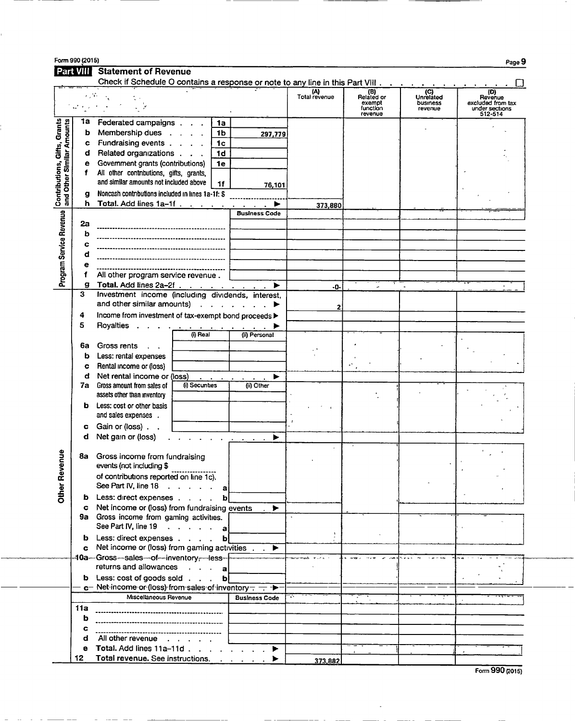| Form 990 (2015) | Page 5 |  |
|-----------------|--------|--|
| $-$             |        |  |

Part VIII Statement of Revenue

|                                                           |        | Check if Schedule O contains a response or note to any line in this Part VIII |                                                                                                                                                                                                                                                |                                                                       |                      |                                                    |                                           |                                                                  |
|-----------------------------------------------------------|--------|-------------------------------------------------------------------------------|------------------------------------------------------------------------------------------------------------------------------------------------------------------------------------------------------------------------------------------------|-----------------------------------------------------------------------|----------------------|----------------------------------------------------|-------------------------------------------|------------------------------------------------------------------|
|                                                           |        |                                                                               |                                                                                                                                                                                                                                                |                                                                       | (A)<br>Total revenue | (B)<br>Related or<br>exempt<br>function<br>revenue | $(C)$<br>Unrelated<br>business<br>revenue | (D)<br>Revenue<br>excluded from tax<br>under sections<br>512-514 |
|                                                           | 1а     | Federated campaigns                                                           | 1a                                                                                                                                                                                                                                             |                                                                       |                      |                                                    |                                           |                                                                  |
|                                                           | b      | Membership dues                                                               | 1 <sub>b</sub>                                                                                                                                                                                                                                 | 297,779                                                               |                      |                                                    |                                           |                                                                  |
|                                                           | c      | Fundraising events                                                            | 1 <sub>c</sub>                                                                                                                                                                                                                                 |                                                                       |                      |                                                    |                                           |                                                                  |
|                                                           | d      | Related organizations                                                         | 1d                                                                                                                                                                                                                                             |                                                                       |                      |                                                    |                                           |                                                                  |
|                                                           | е      | Government grants (contributions)                                             | 1e                                                                                                                                                                                                                                             |                                                                       |                      |                                                    |                                           |                                                                  |
|                                                           | f      | All other contributions, gifts, grants,                                       |                                                                                                                                                                                                                                                |                                                                       |                      |                                                    |                                           |                                                                  |
|                                                           |        | and similar amounts not included above                                        | 1f                                                                                                                                                                                                                                             |                                                                       |                      |                                                    |                                           |                                                                  |
|                                                           |        | Noncash contributions included in lines 1a-1f: \$                             |                                                                                                                                                                                                                                                | 76,101                                                                |                      |                                                    |                                           |                                                                  |
| Contributions, Gifts, Grants<br>and Other Similar Amounts | g<br>h | Total. Add lines $1a-1f$                                                      |                                                                                                                                                                                                                                                |                                                                       |                      |                                                    |                                           |                                                                  |
|                                                           |        |                                                                               |                                                                                                                                                                                                                                                | <b>Business Code</b>                                                  | 373,880              |                                                    |                                           |                                                                  |
| Program Service Revenue                                   | 2а     |                                                                               |                                                                                                                                                                                                                                                |                                                                       |                      |                                                    |                                           |                                                                  |
|                                                           | b      |                                                                               |                                                                                                                                                                                                                                                |                                                                       |                      |                                                    |                                           |                                                                  |
|                                                           | C      |                                                                               |                                                                                                                                                                                                                                                |                                                                       |                      |                                                    |                                           |                                                                  |
|                                                           | d      |                                                                               |                                                                                                                                                                                                                                                |                                                                       |                      |                                                    |                                           |                                                                  |
|                                                           |        |                                                                               |                                                                                                                                                                                                                                                |                                                                       |                      |                                                    |                                           |                                                                  |
|                                                           |        |                                                                               |                                                                                                                                                                                                                                                |                                                                       |                      |                                                    |                                           |                                                                  |
|                                                           | f      | All other program service revenue.                                            |                                                                                                                                                                                                                                                |                                                                       |                      |                                                    |                                           |                                                                  |
|                                                           | g<br>3 | Total. Add lines 2a-2f<br>Investment income (including dividends, interest,   |                                                                                                                                                                                                                                                | ►                                                                     | -0-                  |                                                    |                                           |                                                                  |
|                                                           |        | and other similar amounts)                                                    |                                                                                                                                                                                                                                                |                                                                       |                      |                                                    |                                           |                                                                  |
|                                                           |        |                                                                               |                                                                                                                                                                                                                                                | $\cdots$ $\blacktriangleright$                                        | 2                    |                                                    |                                           |                                                                  |
|                                                           | 4      | Income from investment of tax-exempt bond proceeds >                          |                                                                                                                                                                                                                                                |                                                                       |                      |                                                    |                                           |                                                                  |
|                                                           | 5      | Royalties                                                                     | $\mathcal{A}$ . The contribution of the contribution of the contribution of the contribution of the contribution of the contribution of the contribution of the contribution of the contribution of the contribution of the contri<br>$0$ Real | (ii) Personal                                                         |                      |                                                    |                                           |                                                                  |
|                                                           |        |                                                                               |                                                                                                                                                                                                                                                |                                                                       |                      |                                                    |                                           |                                                                  |
|                                                           | ба     | Gross rents<br>$\sim$                                                         |                                                                                                                                                                                                                                                |                                                                       |                      |                                                    |                                           |                                                                  |
|                                                           | b      | Less: rental expenses                                                         |                                                                                                                                                                                                                                                |                                                                       |                      |                                                    |                                           |                                                                  |
|                                                           | C      | Rental income or (loss)                                                       |                                                                                                                                                                                                                                                |                                                                       |                      |                                                    |                                           |                                                                  |
|                                                           | d      | Net rental income or (loss)                                                   | (i) Secunties                                                                                                                                                                                                                                  | ▶<br>$\mathbf{u} = \mathbf{u} + \mathbf{u} + \mathbf{u} + \mathbf{u}$ |                      |                                                    |                                           |                                                                  |
|                                                           | 7a     | Gross amount from sales of<br>assets other than inventory                     |                                                                                                                                                                                                                                                | (ii) Other                                                            |                      |                                                    |                                           |                                                                  |
|                                                           | b      | Less: cost or other basis                                                     |                                                                                                                                                                                                                                                |                                                                       |                      |                                                    |                                           |                                                                  |
|                                                           |        | and sales expenses.                                                           |                                                                                                                                                                                                                                                |                                                                       |                      |                                                    |                                           |                                                                  |
|                                                           | c      | Gain or (loss).                                                               |                                                                                                                                                                                                                                                |                                                                       |                      |                                                    |                                           |                                                                  |
|                                                           | d      | Net gain or (loss)                                                            | $\mathbf{r}$ and $\mathbf{r}$ and $\mathbf{r}$ and $\mathbf{r}$                                                                                                                                                                                | ▶                                                                     |                      |                                                    |                                           |                                                                  |
|                                                           |        |                                                                               |                                                                                                                                                                                                                                                |                                                                       |                      |                                                    |                                           |                                                                  |
| Revenue                                                   | 8a     | Gross income from fundraising                                                 |                                                                                                                                                                                                                                                |                                                                       |                      |                                                    |                                           |                                                                  |
|                                                           |        | events (not including \$                                                      |                                                                                                                                                                                                                                                |                                                                       |                      |                                                    |                                           |                                                                  |
|                                                           |        | of contributions reported on line 1c).                                        |                                                                                                                                                                                                                                                |                                                                       |                      |                                                    |                                           |                                                                  |
|                                                           |        | See Part IV, line $18 \cdot \cdot \cdot \cdot \cdot$                          | a                                                                                                                                                                                                                                              |                                                                       |                      |                                                    |                                           |                                                                  |
| <b>Other</b>                                              | b      | Less: direct expenses                                                         | b                                                                                                                                                                                                                                              |                                                                       |                      |                                                    |                                           |                                                                  |
|                                                           | c      | Net income or (loss) from fundraising events                                  |                                                                                                                                                                                                                                                | ▶                                                                     |                      |                                                    |                                           |                                                                  |
|                                                           |        | 9a Gross income from gaming activities.                                       |                                                                                                                                                                                                                                                |                                                                       |                      |                                                    |                                           |                                                                  |
|                                                           |        | See Part IV, line 19 a                                                        |                                                                                                                                                                                                                                                |                                                                       |                      |                                                    |                                           |                                                                  |
|                                                           | b      | Less: direct expenses                                                         | ЪJ                                                                                                                                                                                                                                             |                                                                       |                      |                                                    |                                           |                                                                  |
|                                                           |        | c Net income or (loss) from gaming activities $\overline{\phantom{a}}$ .      |                                                                                                                                                                                                                                                |                                                                       |                      |                                                    |                                           |                                                                  |
|                                                           |        | -10a-Gross-sales--of--inventory--less-                                        |                                                                                                                                                                                                                                                |                                                                       |                      |                                                    |                                           |                                                                  |
|                                                           |        | returns and allowances                                                        | $\cdot$ $\cdot$ al                                                                                                                                                                                                                             |                                                                       |                      |                                                    |                                           |                                                                  |
|                                                           |        | <b>b</b> Less: cost of goods sold                                             | $\mathbf{b}$                                                                                                                                                                                                                                   |                                                                       |                      |                                                    |                                           |                                                                  |
|                                                           |        | $c-$ Net-income or (loss) from sales of inventory $-\rightarrow$              |                                                                                                                                                                                                                                                |                                                                       |                      |                                                    |                                           |                                                                  |
|                                                           |        | Miscellaneous Revenue                                                         |                                                                                                                                                                                                                                                | <b>Business Code</b>                                                  |                      |                                                    |                                           |                                                                  |
|                                                           | 11a    |                                                                               |                                                                                                                                                                                                                                                |                                                                       |                      |                                                    |                                           |                                                                  |
|                                                           | b      |                                                                               |                                                                                                                                                                                                                                                |                                                                       |                      |                                                    |                                           |                                                                  |
|                                                           | c      |                                                                               |                                                                                                                                                                                                                                                |                                                                       |                      |                                                    |                                           |                                                                  |
|                                                           | d      | All other revenue                                                             |                                                                                                                                                                                                                                                |                                                                       |                      |                                                    |                                           |                                                                  |
|                                                           | е      | Total. Add lines 11a-11d                                                      |                                                                                                                                                                                                                                                | ►                                                                     |                      |                                                    |                                           |                                                                  |
|                                                           | 12.    |                                                                               |                                                                                                                                                                                                                                                |                                                                       | 373,882              |                                                    |                                           |                                                                  |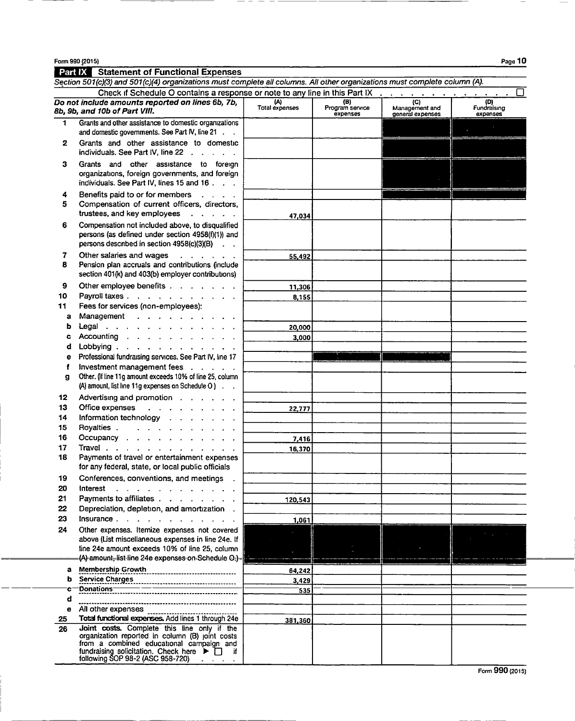Form 990 (2015)

|              | <b>Paintiful Statement of Functional Expenses</b><br>Section 501(c)(3) and 501(c)(4) organizations must complete all columns. All other organizations must complete column (A).                                                                                        |                       |                                    |                                                      |                                |
|--------------|------------------------------------------------------------------------------------------------------------------------------------------------------------------------------------------------------------------------------------------------------------------------|-----------------------|------------------------------------|------------------------------------------------------|--------------------------------|
|              | Check if Schedule O contains a response or note to any line in this Part IX                                                                                                                                                                                            |                       |                                    |                                                      | □                              |
|              | Do not include amounts reported on lines 6b, 7b,<br>8b, 9b, and 10b of Part VIII.                                                                                                                                                                                      | (A)<br>Total expenses | (B)<br>Program service<br>expenses | $\overline{C}$<br>Management and<br>general expenses | (D)<br>Fundraising<br>expenses |
| $\mathbf{1}$ | Grants and other assistance to domestic organizations<br>and domestic governments. See Part IV, line 21                                                                                                                                                                |                       |                                    |                                                      |                                |
| 2            | Grants and other assistance to domestic<br>individuals. See Part IV, line 22                                                                                                                                                                                           |                       |                                    |                                                      |                                |
| з            | Grants and other assistance to foreign<br>organizations, foreign governments, and foreign<br>individuals. See Part IV, lines 15 and 16                                                                                                                                 |                       |                                    |                                                      |                                |
| 4<br>5       | Benefits paid to or for members<br>Compensation of current officers, directors,<br>trustees, and key employees                                                                                                                                                         | 47,034                |                                    |                                                      |                                |
| 6            | Compensation not included above, to disqualified<br>persons (as defined under section 4958(f)(1)) and<br>persons described in section 4958(c)(3)(B)                                                                                                                    |                       |                                    |                                                      |                                |
| 7<br>8       | Other salaries and wages<br><b><i>Contract Contract Artist</i></b><br>Pension plan accruals and contributions (include<br>section 401(k) and 403(b) employer contributions)                                                                                            | 55,492                |                                    |                                                      |                                |
| 9            | Other employee benefits                                                                                                                                                                                                                                                | 11,306                |                                    |                                                      |                                |
| 10           | Payroll taxes                                                                                                                                                                                                                                                          | 8,155                 |                                    |                                                      |                                |
| 11           | Fees for services (non-employees):                                                                                                                                                                                                                                     |                       |                                    |                                                      |                                |
| а            | Management                                                                                                                                                                                                                                                             |                       |                                    |                                                      |                                |
| b            | Legal $\cdots$ $\cdots$ $\cdots$ $\cdots$ $\cdots$<br>Accounting                                                                                                                                                                                                       | 20,000                |                                    |                                                      |                                |
| c<br>d       | Lobbying                                                                                                                                                                                                                                                               | 3.000                 |                                    |                                                      |                                |
| е            | Professional fundraising services. See Part IV, line 17                                                                                                                                                                                                                |                       |                                    |                                                      |                                |
| f            | Investment management fees                                                                                                                                                                                                                                             |                       |                                    |                                                      |                                |
| g            | Other. (If line 11g amount exceeds 10% of line 25, column<br>$(A)$ amount, list line 11g expenses on Schedule O $)$ .                                                                                                                                                  |                       |                                    |                                                      |                                |
| 12           | Advertising and promotion                                                                                                                                                                                                                                              |                       |                                    |                                                      |                                |
| 13           | Office expenses<br>and the second contract of the                                                                                                                                                                                                                      | 22,777                |                                    |                                                      |                                |
| 14           | Information technology                                                                                                                                                                                                                                                 |                       |                                    |                                                      |                                |
| 15           | Royalties                                                                                                                                                                                                                                                              |                       |                                    |                                                      |                                |
| 16           | Occupancy                                                                                                                                                                                                                                                              | 7,416                 |                                    |                                                      |                                |
| 17           | Travel                                                                                                                                                                                                                                                                 | 16,370                |                                    |                                                      |                                |
| 18           | Payments of travel or entertainment expenses<br>for any federal, state, or local public officials                                                                                                                                                                      |                       |                                    |                                                      |                                |
| 19<br>20     | Conferences, conventions, and meetings                                                                                                                                                                                                                                 |                       |                                    |                                                      |                                |
| 21           | Interest<br>Payments to affiliates                                                                                                                                                                                                                                     |                       |                                    |                                                      |                                |
| 22           | Depreciation, depletion, and amortization.                                                                                                                                                                                                                             | 120,543               |                                    |                                                      |                                |
| 23           | Insurance                                                                                                                                                                                                                                                              | 1,061                 |                                    |                                                      |                                |
| 24           | Other expenses. Itemize expenses not covered                                                                                                                                                                                                                           |                       |                                    |                                                      |                                |
|              | above (List miscellaneous expenses in line 24e. If                                                                                                                                                                                                                     |                       |                                    |                                                      |                                |
|              | line 24e amount exceeds 10% of line 25, column                                                                                                                                                                                                                         |                       |                                    |                                                      |                                |
|              | (A)-amount,-list-line 24e expenses on Schedule O.)-                                                                                                                                                                                                                    |                       |                                    |                                                      |                                |
| a            | Membership Growth                                                                                                                                                                                                                                                      | 64,242                |                                    |                                                      |                                |
| b            | ------<br>Service Charges<br>Donations-                                                                                                                                                                                                                                | 3,429                 |                                    |                                                      |                                |
| c<br>d       |                                                                                                                                                                                                                                                                        | 535                   |                                    |                                                      |                                |
| е            | All other expenses                                                                                                                                                                                                                                                     |                       |                                    |                                                      |                                |
| 25           | Total functional expenses. Add lines 1 through 24e                                                                                                                                                                                                                     |                       |                                    |                                                      |                                |
| 26           | Joint costs. Complete this line only if the<br>organization reported in column (B) joint costs<br>from a combined educational campaign and<br>fundraising solicitation. Check here $\blacktriangleright \Box$ if<br>following SOP 98-2 (ASC 958-720) $\qquad \qquad$ . | 381,360               |                                    |                                                      |                                |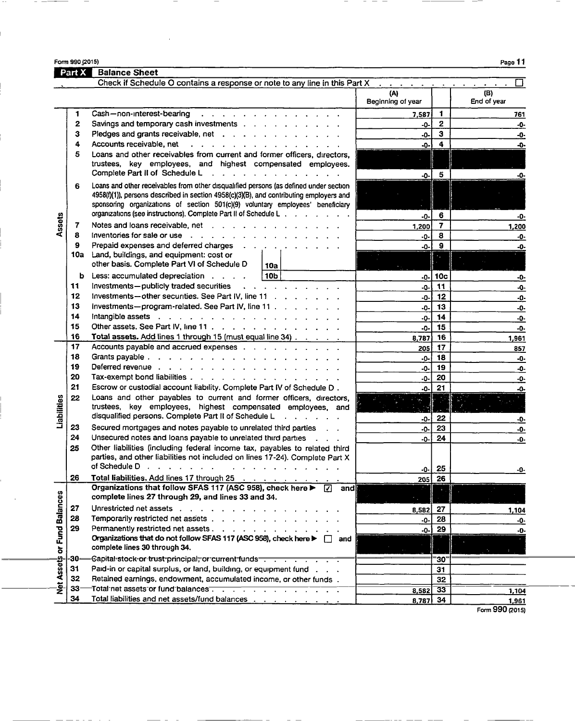Form 990 12015) Page 11

 $\overline{\phantom{a}}$  $\overline{\phantom{a}}$ 

|                             | Part X     | <b>Balance Sheet</b>                                                                                                                                                                                                                                                                                                                   |                          |                         |                    |
|-----------------------------|------------|----------------------------------------------------------------------------------------------------------------------------------------------------------------------------------------------------------------------------------------------------------------------------------------------------------------------------------------|--------------------------|-------------------------|--------------------|
|                             |            | Check if Schedule O contains a response or note to any line in this Part X                                                                                                                                                                                                                                                             |                          |                         |                    |
|                             |            |                                                                                                                                                                                                                                                                                                                                        | (A)<br>Beginning of year |                         | (B)<br>End of year |
|                             | 1          | Cash-non-interest-bearing                                                                                                                                                                                                                                                                                                              | 7,587                    | $\mathbf{1}$            | 761                |
|                             | 2          | Savings and temporary cash investments                                                                                                                                                                                                                                                                                                 | -0-                      | $\mathbf{2}$            | -0-                |
|                             | 3          | Pledges and grants receivable, net                                                                                                                                                                                                                                                                                                     | -0-                      | $\mathbf{3}$            | -0-                |
|                             | 4          | Accounts receivable, net referred and referred and referred and referred and referred and referred and referred and reference and referred and referred and referred and referred and referred and referred and referred and r                                                                                                         | -0-'                     | 4                       | -ዑ-                |
|                             | 5          | Loans and other receivables from current and former officers, directors,<br>trustees, key employees, and highest compensated employees.                                                                                                                                                                                                |                          |                         |                    |
|                             |            | Complete Part II of Schedule L.                                                                                                                                                                                                                                                                                                        | -0-                      | 5                       | -0-                |
|                             | 6          | Loans and other receivables from other disqualified persons (as defined under section<br>4958(f)(1)), persons described in section 4958(c)(3)(B), and contributing employers and<br>sponsoring organizations of section 501(c)(9) voluntary employees' beneficiary<br>organizations (see instructions). Complete Part II of Schedule L |                          |                         |                    |
| Assets                      |            |                                                                                                                                                                                                                                                                                                                                        | -0-                      | 6                       | -0-                |
|                             | 7<br>8     | Notes and loans receivable, net                                                                                                                                                                                                                                                                                                        | 1,200                    | $\overline{\mathbf{z}}$ | 1,200              |
|                             | 9          | Inventories for sale or use with a state of the state of the state of the state of the state of the state of the state of the state of the state of the state of the state of the state of the state of the state of the state<br>Prepaid expenses and deferred charges                                                                | -0-                      | 8<br>$\mathbf{9}$       | -0-                |
|                             | <b>10a</b> | Land, buildings, and equipment: cost or                                                                                                                                                                                                                                                                                                | -0-                      |                         | -0-                |
|                             |            | other basis. Complete Part VI of Schedule D<br>10a                                                                                                                                                                                                                                                                                     |                          |                         |                    |
|                             | b          | 10b<br>Less: accumulated depreciation                                                                                                                                                                                                                                                                                                  | $-0-$                    | l 10c                   | -0-                |
|                             | 11         | Investments-publicly traded securities<br><b>Contract Contract Contract Contract Contract Contract Contract Contract Contract Contract Contract Contract Contract Contract Contract Contract Contract Contract Contract Contract Contract Contract Contract Contract Contr</b>                                                         | -0-                      | 11                      | -0-                |
|                             | 12         | Investments-other securities. See Part IV, line 11                                                                                                                                                                                                                                                                                     | -0-                      | 12                      | -0-                |
|                             | 13         | Investments-program-related. See Part IV, line 11                                                                                                                                                                                                                                                                                      | -0-                      | 13                      | -0-                |
|                             | 14         | Intangible assets in the contract of the contract of the contract of the contract of the contract of the contract of the contract of the contract of the contract of the contract of the contract of the contract of the contr                                                                                                         | -0-                      | 14                      | -0-                |
|                             | 15         | Other assets. See Part IV, line 11                                                                                                                                                                                                                                                                                                     | -0-                      | 15                      | -0-                |
|                             | 16         | Total assets. Add lines 1 through 15 (must equal line 34)                                                                                                                                                                                                                                                                              | 8,787                    | 16                      | 1,961              |
|                             | 17         |                                                                                                                                                                                                                                                                                                                                        | 205 l                    | 17                      | 857                |
|                             | 18         |                                                                                                                                                                                                                                                                                                                                        | $-0-$                    | 18                      | -0-                |
|                             | 19         | Deferred revenue by contact the contact of the contact of the contact of the contact of the contact of the contact of the contact of the contact of the contact of the contact of the contact of the contact of the contact of                                                                                                         | -0-                      | 19                      | -0-                |
|                             | 20<br>21   | Tax-exempt bond liabilities                                                                                                                                                                                                                                                                                                            | -0-                      | 20                      | -0-                |
|                             |            | Escrow or custodial account liability. Complete Part IV of Schedule D.                                                                                                                                                                                                                                                                 | -0-                      | 21                      | -0-                |
| Liabilities                 | 22         | Loans and other payables to current and former officers, directors,<br>trustees, key employees, highest compensated employees, and<br>disqualified persons. Complete Part II of Schedule Lewisser Lewisser                                                                                                                             |                          |                         |                    |
|                             | 23         | Secured mortgages and notes payable to unrelated third parties                                                                                                                                                                                                                                                                         | -0-                      | 22<br>23                | -0-                |
|                             | 24         | Unsecured notes and loans payable to unrelated third parties                                                                                                                                                                                                                                                                           | -0-<br>-0-1              | 24                      | -0-                |
|                             | 25         | Other liabilities (including federal income tax, payables to related third<br>parties, and other liabilities not included on lines 17-24). Complete Part X                                                                                                                                                                             |                          |                         | -0-                |
|                             |            | of Schedule D $\ldots$ $\ldots$ $\ldots$<br>$\mathbf{r} = \mathbf{r} - \mathbf{r}$ . The set of the set of the set of the set of the set of the set of the set of the set of the set of the set of the set of the set of the set of the set of the set of the set of the set of the set o                                              | -0-1                     | 25                      | -0-                |
|                             | 26         | Total liabilities. Add lines 17 through 25<br>لوا ما روایت است. و است به این است                                                                                                                                                                                                                                                       |                          | $205$ 26                |                    |
|                             |            | Organizations that follow SFAS 117 (ASC 958), check here $\blacktriangleright$ 7 and<br>complete lines 27 through 29, and lines 33 and 34.                                                                                                                                                                                             |                          |                         |                    |
|                             | 27         | Unrestricted net assets (enterprise and enterprise of the contract of the contract of the contract of the contract of the contract of the contract of the contract of the contract of the contract of the contract of the cont                                                                                                         | 8,582                    | 27                      | 1,104              |
|                             | 28         | Temporarily restricted net assets                                                                                                                                                                                                                                                                                                      | -0-                      | 28                      | -0-                |
|                             | 29         | Permanently restricted net assets                                                                                                                                                                                                                                                                                                      | -0-                      | 29                      | -0-                |
| Net Assets or Fund Balances |            | Organizations that do not follow SFAS 117 (ASC 958), check here > and                                                                                                                                                                                                                                                                  |                          |                         |                    |
|                             |            | complete lines 30 through 34.                                                                                                                                                                                                                                                                                                          |                          |                         |                    |
|                             | -30-       | Capital stock or trust principal, or current funds contact to the control of                                                                                                                                                                                                                                                           |                          | -30.                    |                    |
|                             | 31<br>32   | Paid-in or capital surplus, or land, building, or equipment fund<br>Retained earnings, endowment, accumulated income, or other funds.                                                                                                                                                                                                  |                          | 31                      |                    |
|                             | $33 -$     | Total net assets or fund balances                                                                                                                                                                                                                                                                                                      |                          | 32                      |                    |
|                             | 34         | Total liabilities and net assets/fund balances in the contract of the contract of the line of the line of the line of the line of the line of the line of the line of the line of the line of the line of the line of the line                                                                                                         | 8,582<br>8,787           | 33<br>34                | 1,104<br>1.961     |
|                             |            |                                                                                                                                                                                                                                                                                                                                        |                          |                         |                    |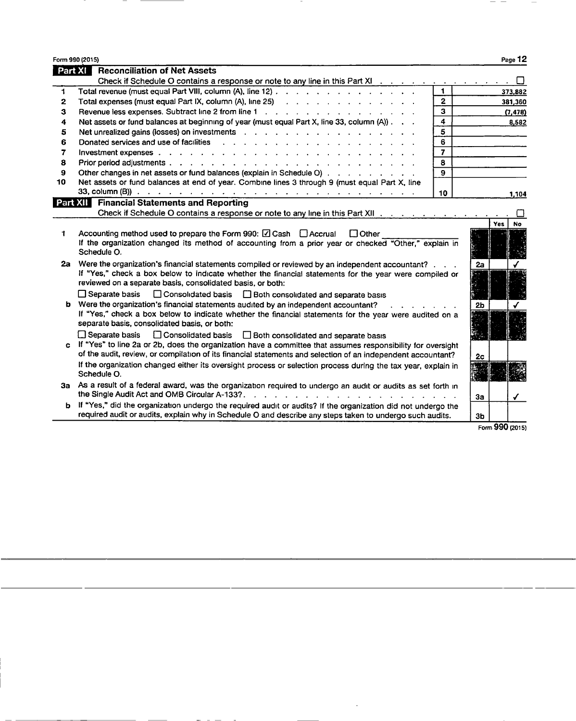|    | Form 990 (2015)                                                                                                                                                                                                                |                |                |            | Page 12   |
|----|--------------------------------------------------------------------------------------------------------------------------------------------------------------------------------------------------------------------------------|----------------|----------------|------------|-----------|
|    | <b>Part XI Reconciliation of Net Assets</b>                                                                                                                                                                                    |                |                |            |           |
|    | Check if Schedule O contains a response or note to any line in this Part XI $\cdots$                                                                                                                                           |                |                |            |           |
| 1  | Total revenue (must equal Part VIII, column (A), line 12)                                                                                                                                                                      |                |                |            | 373,882   |
| 2  | Total expenses (must equal Part IX, column (A), line 25) (as a contract of a contract of a contract of the contract of the contract of the contract of the contract of the contract of the contract of the contract of the con | $\mathbf{2}$   |                |            | 381,360   |
| 3  | Revenue less expenses. Subtract line 2 from line 1                                                                                                                                                                             | 3              |                |            | (7, 478)  |
| 4  | Net assets or fund balances at beginning of year (must equal Part X, line 33, column (A)).                                                                                                                                     | 4              |                |            | 8,582     |
| 5  |                                                                                                                                                                                                                                | 5              |                |            |           |
| 6  |                                                                                                                                                                                                                                | 6              |                |            |           |
| 7  | Investment expenses enterprise and a series and a series and a series of the series of the series of the series of the series of the series of the series of the series of the series of the series of the series of the serie | $\overline{z}$ |                |            |           |
| 8  |                                                                                                                                                                                                                                | 8              |                |            |           |
| 9  | Other changes in net assets or fund balances (explain in Schedule O)                                                                                                                                                           | 9              |                |            |           |
| 10 | Net assets or fund balances at end of year. Combine lines 3 through 9 (must equal Part X, line                                                                                                                                 |                |                |            |           |
|    |                                                                                                                                                                                                                                | 10             |                |            | 1,104     |
|    | <b>Part XII Financial Statements and Reporting</b>                                                                                                                                                                             |                |                |            |           |
|    | Check if Schedule O contains a response or note to any line in this Part XII                                                                                                                                                   |                |                |            |           |
|    |                                                                                                                                                                                                                                |                |                | <b>Yes</b> | <b>No</b> |
| 1  | Accounting method used to prepare the Form 990: $\boxtimes$ Cash $\Box$ Accrual<br>$\Box$ Other                                                                                                                                |                |                |            |           |
|    | If the organization changed its method of accounting from a prior year or checked "Other," explain in                                                                                                                          |                |                |            |           |
|    | Schedule O.                                                                                                                                                                                                                    |                |                |            |           |
| 2а | Were the organization's financial statements compiled or reviewed by an independent accountant?                                                                                                                                |                | 2a             |            |           |
|    | If "Yes," check a box below to indicate whether the financial statements for the year were compiled or                                                                                                                         |                |                |            |           |
|    | reviewed on a separate basis, consolidated basis, or both:                                                                                                                                                                     |                |                |            |           |
|    | $\Box$ Separate basis<br>□ Consolidated basis □ Both consolidated and separate basis                                                                                                                                           |                |                |            |           |
|    | b Were the organization's financial statements audited by an independent accountant?                                                                                                                                           |                | 2 <sub>b</sub> |            |           |
|    | If "Yes," check a box below to indicate whether the financial statements for the year were audited on a                                                                                                                        |                |                |            |           |
|    | separate basis, consolidated basis, or both:                                                                                                                                                                                   |                |                |            |           |
|    | □ Separate basis □ Consolidated basis □ Both consolidated and separate basis                                                                                                                                                   |                |                |            |           |
|    | c If "Yes" to line 2a or 2b, does the organization have a committee that assumes responsibility for oversight                                                                                                                  |                |                |            |           |
|    | of the audit, review, or compilation of its financial statements and selection of an independent accountant?                                                                                                                   |                | 2c             |            |           |
|    | If the organization changed either its oversight process or selection process during the tax year, explain in                                                                                                                  |                |                |            |           |
|    | Schedule O.                                                                                                                                                                                                                    |                |                |            |           |
|    | 3a As a result of a federal award, was the organization required to undergo an audit or audits as set forth in                                                                                                                 |                |                |            |           |
|    | the Single Audit Act and OMB Circular A-133?.                                                                                                                                                                                  |                | 3a             |            | ✓         |
| ь  | If "Yes," did the organization undergo the required audit or audits? If the organization did not undergo the                                                                                                                   |                |                |            |           |
|    | required audit or audits, explain why in Schedule O and describe any steps taken to undergo such audits.                                                                                                                       |                | 3 <sub>b</sub> |            |           |

 $\bar{\mathcal{A}}$ 

Form 990 (2015)

 $- -$